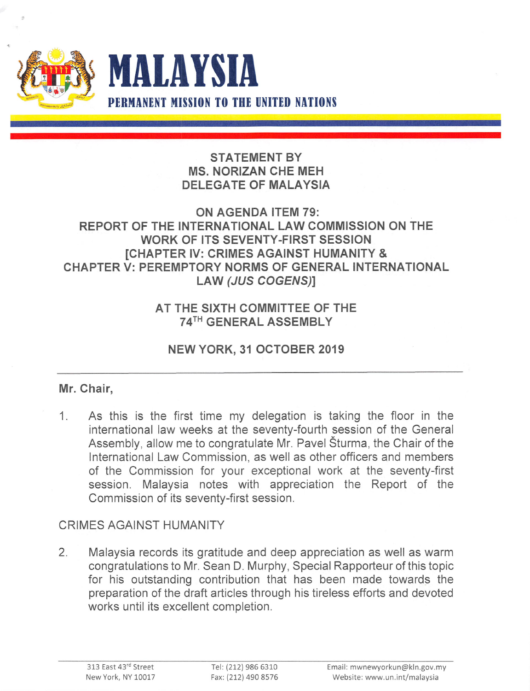

### STATEMENT BY MS. NORIZAN CHE MEM DELEGATE OF MALAYSIA

#### ON AGENDA ITEM 79: REPORT OF THE INTERNATIONAL LAW COMMISSION ON THE WORK OF ITS SEVENTY-FIRST SESSION [CHAPTER IV: CRIMES AGAINST HUMANITY & CHAPTER V: PEREMPTORY NORMS OF GENERAL INTERNATIONAL LAW (JUS COGENS)]

### AT THE SIXTH COMMITTEE OF THE 74TH GENERAL ASSEMBLY

# NEW YORK, 31 OCTOBER 2019

# Mr. Chair,

1. As this is the first time my delegation is taking the floor in the international law weeks at the seventy-fourth session of the General Assembly, allow me to congratulate Mr. Pavel Sturma, the Chair of the International Law Commission, as well as other officers and members of the Commission for your exceptional work at the seventy-first session. Malaysia notes with appreciation the Report of the Commission of its seventy-first session.

# CRIMES AGAINST HUMANITY

2. Malaysia records its gratitude and deep appreciation as well as warm congratulations to Mr. Sean D. Murphy, Special Rapporteur of this topic for his outstanding contribution that has been made towards the preparation of the draft articles through his tireless efforts and devoted works until its excellent completion.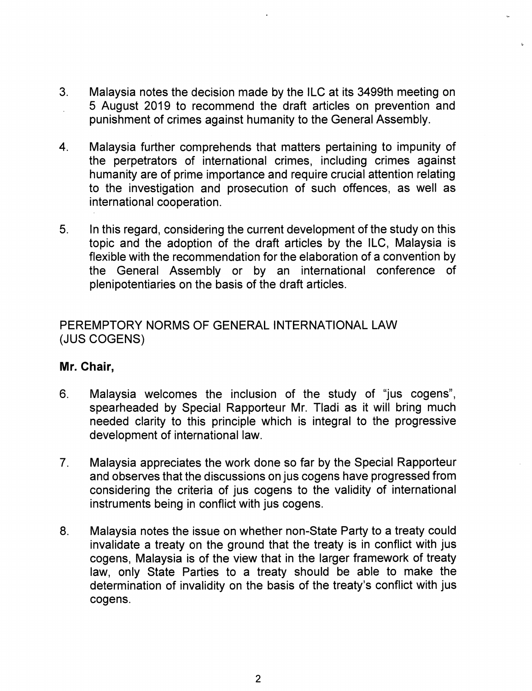- 3. Malaysia notes the decision made by the ILC at its 3499th meeting on 5 August 2019 to recommend the draft articles on prevention and punishment of crimes against humanity to the General Assembly.
- 4. Malaysia further comprehends that matters pertaining to impunity of the perpetrators of international crimes, including crimes against humanity are of prime importance and require crucial attention relating to the investigation and prosecution of such offences, as well as international cooperation.
- 5. In this regard, considering the current development of the study on this topic and the adoption of the draft articles by the ILC, Malaysia is flexible with the recommendation for the elaboration of a convention by the General Assembly or by an international conference of plenipotentiaries on the basis of the draft articles.

#### PEREMPTORY NORMS OF GENERAL INTERNATIONAL LAW (JUS COGENS)

#### Mr. Chair,

- 6. Malaysia welcomes the inclusion of the study of "jus cogens", spearheaded by Special Rapporteur Mr. TIadi as it will bring much needed clarity to this principle which is integral to the progressive development of international law.
- 7. Malaysia appreciates the work done so far by the Special Rapporteur and observes that the discussions on jus cogens have progressed from considering the criteria of jus cogens to the validity of international instruments being in conflict with jus cogens.
- 8. Malaysia notes the issue on whether non-State Party to a treaty could invalidate a treaty on the ground that the treaty is in conflict with jus cogens, Malaysia is of the view that in the larger framework of treaty law, only State Parties to a treaty should be able to make the determination of invalidity on the basis of the treaty's conflict with jus cogens.